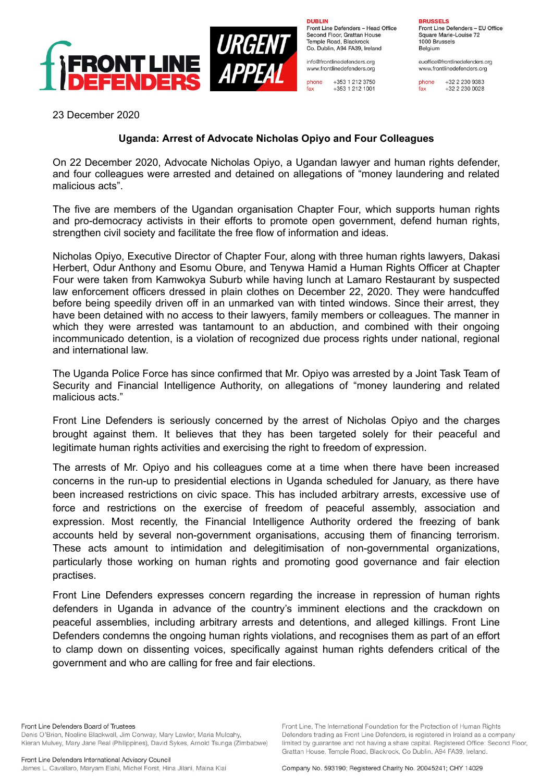

**DUBLIN** Front Line Defenders - Head Office Second Floor, Grattan House Temple Road, Blackrock Co. Dublin, A94 FA39, Ireland

info@frontlinedefenders.org www.frontlinedefenders.org

phone +353 1 212 3750 +353 1 212 1001 fax

**BRUSSELS** Front Line Defenders - EU Office Square Marie-Louise 72 1000 Brussels Belgium

euoffice@frontlinedefenders.org www.frontlinedefenders.org

phone +32 2 230 9383 +32 2 230 0028 fax

23 December 2020

## **Uganda: Arrest of Advocate Nicholas Opiyo and Four Colleagues**

On 22 December 2020, Advocate Nicholas Opiyo, a Ugandan lawyer and human rights defender, and four colleagues were arrested and detained on allegations of "money laundering and related malicious acts".

The five are members of the Ugandan organisation Chapter Four, which supports human rights and pro-democracy activists in their efforts to promote open government, defend human rights, strengthen civil society and facilitate the free flow of information and ideas.

Nicholas Opiyo, Executive Director of Chapter Four, along with three human rights lawyers, Dakasi Herbert, Odur Anthony and Esomu Obure, and Tenywa Hamid a Human Rights Officer at Chapter Four were taken from Kamwokya Suburb while having lunch at Lamaro Restaurant by suspected law enforcement officers dressed in plain clothes on December 22, 2020. They were handcuffed before being speedily driven off in an unmarked van with tinted windows. Since their arrest, they have been detained with no access to their lawyers, family members or colleagues. The manner in which they were arrested was tantamount to an abduction, and combined with their ongoing incommunicado detention, is a violation of recognized due process rights under national, regional and international law.

The Uganda Police Force has since confirmed that Mr. Opiyo was arrested by a Joint Task Team of Security and Financial Intelligence Authority, on allegations of "money laundering and related malicious acts."

Front Line Defenders is seriously concerned by the arrest of Nicholas Opiyo and the charges brought against them. It believes that they has been targeted solely for their peaceful and legitimate human rights activities and exercising the right to freedom of expression.

The arrests of Mr. Opiyo and his colleagues come at a time when there have been increased concerns in the run-up to presidential elections in Uganda scheduled for January, as there have been increased restrictions on civic space. This has included arbitrary arrests, excessive use of force and restrictions on the exercise of freedom of peaceful assembly, association and expression. Most recently, the Financial Intelligence Authority ordered the freezing of bank accounts held by several non-government organisations, accusing them of financing terrorism. These acts amount to intimidation and delegitimisation of non-governmental organizations, particularly those working on human rights and promoting good governance and fair election practises.

Front Line Defenders expresses concern regarding the increase in repression of human rights defenders in Uganda in advance of the country's imminent elections and the crackdown on peaceful assemblies, including arbitrary arrests and detentions, and alleged killings. Front Line Defenders condemns the ongoing human rights violations, and recognises them as part of an effort to clamp down on dissenting voices, specifically against human rights defenders critical of the government and who are calling for free and fair elections.

Front Line Defenders Board of Trustees Denis O'Brien, Noeline Blackwell, Jim Conway, Mary Lawlor, Maria Mulcahy, Kieran Mulvey, Mary Jane Real (Philippines), David Sykes, Arnold Tsunga (Zimbabwe)